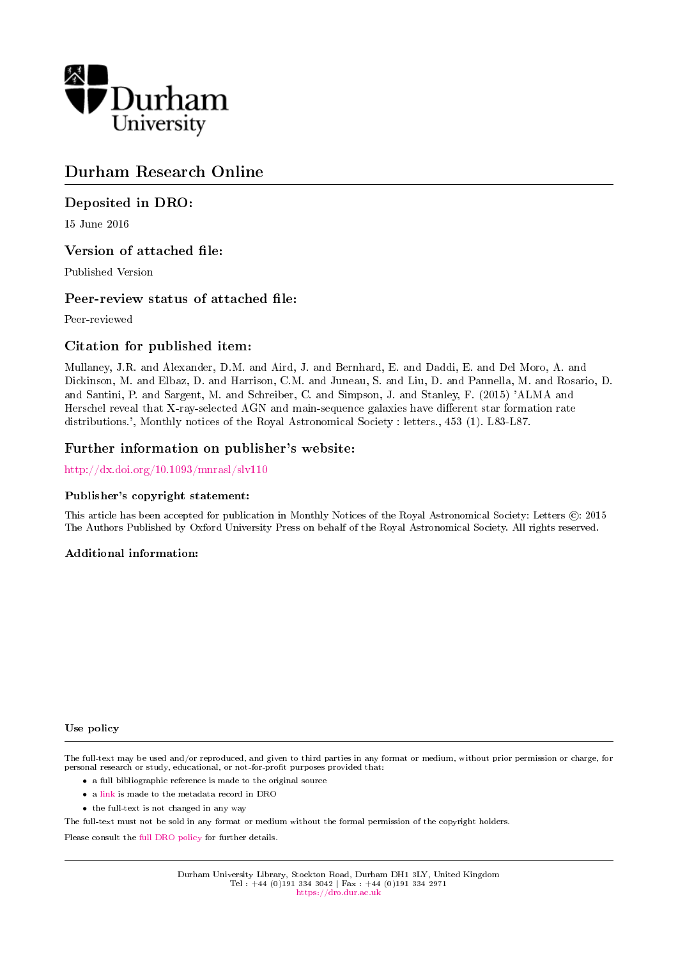

# Durham Research Online

# Deposited in DRO:

15 June 2016

# Version of attached file:

Published Version

# Peer-review status of attached file:

Peer-reviewed

# Citation for published item:

Mullaney, J.R. and Alexander, D.M. and Aird, J. and Bernhard, E. and Daddi, E. and Del Moro, A. and Dickinson, M. and Elbaz, D. and Harrison, C.M. and Juneau, S. and Liu, D. and Pannella, M. and Rosario, D. and Santini, P. and Sargent, M. and Schreiber, C. and Simpson, J. and Stanley, F. (2015) 'ALMA and Herschel reveal that X-ray-selected AGN and main-sequence galaxies have different star formation rate distributions.', Monthly notices of the Royal Astronomical Society : letters., 453 (1). L83-L87.

# Further information on publisher's website:

<http://dx.doi.org/10.1093/mnrasl/slv110>

### Publisher's copyright statement:

This article has been accepted for publication in Monthly Notices of the Royal Astronomical Society: Letters (C): 2015 The Authors Published by Oxford University Press on behalf of the Royal Astronomical Society. All rights reserved.

### Additional information:

### Use policy

The full-text may be used and/or reproduced, and given to third parties in any format or medium, without prior permission or charge, for personal research or study, educational, or not-for-profit purposes provided that:

- a full bibliographic reference is made to the original source
- a [link](http://dro.dur.ac.uk/19042/) is made to the metadata record in DRO
- the full-text is not changed in any way

The full-text must not be sold in any format or medium without the formal permission of the copyright holders.

Please consult the [full DRO policy](https://dro.dur.ac.uk/policies/usepolicy.pdf) for further details.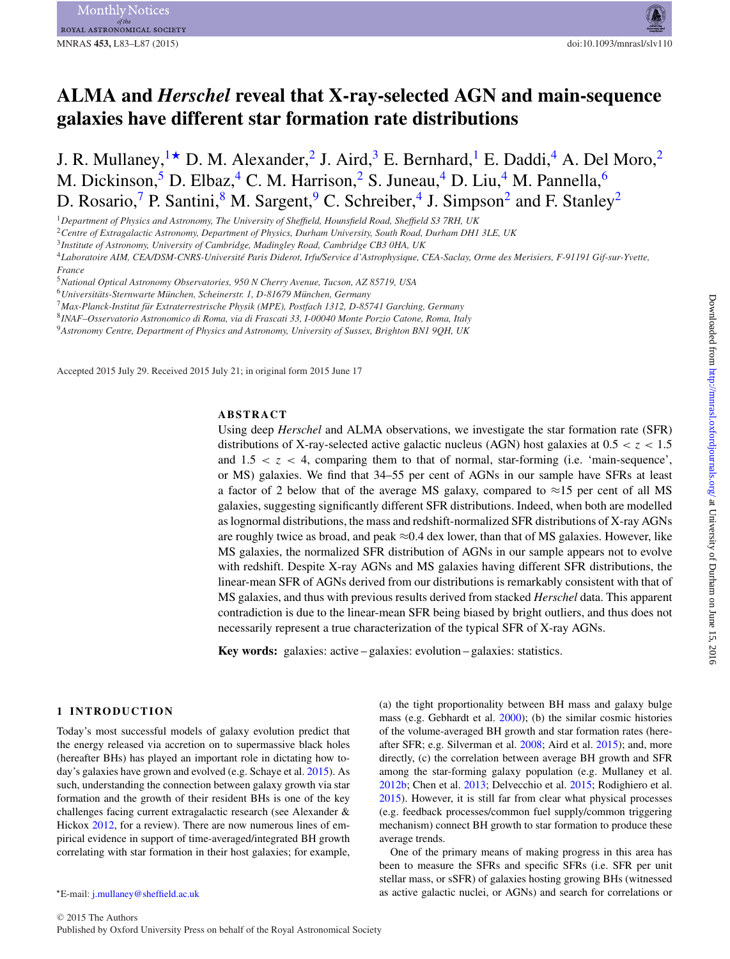# **ALMA and** *Herschel* **reveal that X-ray-selected AGN and main-sequence galaxies have different star formation rate distributions**

J. R. Mullaney,  $1\star$  $1\star$  D. M. Alexander, <sup>2</sup> J. Aird, <sup>[3](#page-1-3)</sup> E. Bernhard, <sup>1</sup> E. Daddi, <sup>[4](#page-1-4)</sup> A. Del Moro, <sup>2</sup> M. Dickinson,<sup>[5](#page-1-5)</sup> D. Elbaz,<sup>4</sup> C. M. Harrison,<sup>[2](#page-1-2)</sup> S. Juneau,<sup>[4](#page-1-4)</sup> D. Liu,<sup>4</sup> M. Pannella,<sup>[6](#page-1-6)</sup> D. Rosario,<sup>[7](#page-1-7)</sup> P. Santini,<sup>[8](#page-1-8)</sup> M. Sargent,<sup>[9](#page-1-9)</sup> C. Schreiber,<sup>[4](#page-1-4)</sup> J. Simpson<sup>[2](#page-1-2)</sup> and F. Stanley<sup>2</sup>

<span id="page-1-0"></span><sup>1</sup>*Department of Physics and Astronomy, The University of Sheffield, Hounsfield Road, Sheffield S3 7RH, UK*

<span id="page-1-2"></span><sup>2</sup>*Centre of Extragalactic Astronomy, Department of Physics, Durham University, South Road, Durham DH1 3LE, UK*

<span id="page-1-3"></span><sup>3</sup>*Institute of Astronomy, University of Cambridge, Madingley Road, Cambridge CB3 0HA, UK*

<span id="page-1-4"></span><sup>4</sup>*Laboratoire AIM, CEA/DSM-CNRS-Universite Paris Diderot, Irfu/Service d'Astrophysique, CEA-Saclay, Orme des Merisiers, F-91191 Gif-sur-Yvette, ´ France*

<span id="page-1-5"></span><sup>5</sup>*National Optical Astronomy Observatories, 950 N Cherry Avenue, Tucson, AZ 85719, USA*

<span id="page-1-6"></span><sup>6</sup>*Universitats-Sternwarte M ¨ unchen, Scheinerstr. 1, D-81679 M ¨ unchen, Germany ¨*

<span id="page-1-7"></span><sup>7</sup>*Max-Planck-Institut fur Extraterrestrische Physik (MPE), Postfach 1312, D-85741 Garching, Germany ¨*

<span id="page-1-8"></span><sup>8</sup>*INAF–Osservatorio Astronomico di Roma, via di Frascati 33, I-00040 Monte Porzio Catone, Roma, Italy*

<span id="page-1-9"></span><sup>9</sup>*Astronomy Centre, Department of Physics and Astronomy, University of Sussex, Brighton BN1 9QH, UK*

Accepted 2015 July 29. Received 2015 July 21; in original form 2015 June 17

#### **ABSTRACT**

Using deep *Herschel* and ALMA observations, we investigate the star formation rate (SFR) distributions of X-ray-selected active galactic nucleus (AGN) host galaxies at  $0.5 < z < 1.5$ and  $1.5 < z < 4$ , comparing them to that of normal, star-forming (i.e. 'main-sequence', or MS) galaxies. We find that 34–55 per cent of AGNs in our sample have SFRs at least a factor of 2 below that of the average MS galaxy, compared to  $\approx$ 15 per cent of all MS galaxies, suggesting significantly different SFR distributions. Indeed, when both are modelled as lognormal distributions, the mass and redshift-normalized SFR distributions of X-ray AGNs are roughly twice as broad, and peak  $\approx 0.4$  dex lower, than that of MS galaxies. However, like MS galaxies, the normalized SFR distribution of AGNs in our sample appears not to evolve with redshift. Despite X-ray AGNs and MS galaxies having different SFR distributions, the linear-mean SFR of AGNs derived from our distributions is remarkably consistent with that of MS galaxies, and thus with previous results derived from stacked *Herschel* data. This apparent contradiction is due to the linear-mean SFR being biased by bright outliers, and thus does not necessarily represent a true characterization of the typical SFR of X-ray AGNs.

**Key words:** galaxies: active – galaxies: evolution – galaxies: statistics.

#### **1 INTRODUCTION**

Today's most successful models of galaxy evolution predict that the energy released via accretion on to supermassive black holes (hereafter BHs) has played an important role in dictating how today's galaxies have grown and evolved (e.g. Schaye et al. [2015\)](#page-5-0). As such, understanding the connection between galaxy growth via star formation and the growth of their resident BHs is one of the key challenges facing current extragalactic research (see Alexander & Hickox [2012,](#page-5-1) for a review). There are now numerous lines of empirical evidence in support of time-averaged/integrated BH growth correlating with star formation in their host galaxies; for example,

<span id="page-1-1"></span>-E-mail: [j.mullaney@sheffield.ac.uk](mailto:j.mullaney@sheffield.ac.uk)

(a) the tight proportionality between BH mass and galaxy bulge mass (e.g. Gebhardt et al. [2000\)](#page-5-2); (b) the similar cosmic histories of the volume-averaged BH growth and star formation rates (hereafter SFR; e.g. Silverman et al. [2008;](#page-5-3) Aird et al. [2015\)](#page-5-4); and, more directly, (c) the correlation between average BH growth and SFR among the star-forming galaxy population (e.g. Mullaney et al. [2012b;](#page-5-5) Chen et al. [2013;](#page-5-6) Delvecchio et al. [2015;](#page-5-7) Rodighiero et al. [2015\)](#page-5-8). However, it is still far from clear what physical processes (e.g. feedback processes/common fuel supply/common triggering mechanism) connect BH growth to star formation to produce these average trends.

One of the primary means of making progress in this area has been to measure the SFRs and specific SFRs (i.e. SFR per unit stellar mass, or sSFR) of galaxies hosting growing BHs (witnessed as active galactic nuclei, or AGNs) and search for correlations or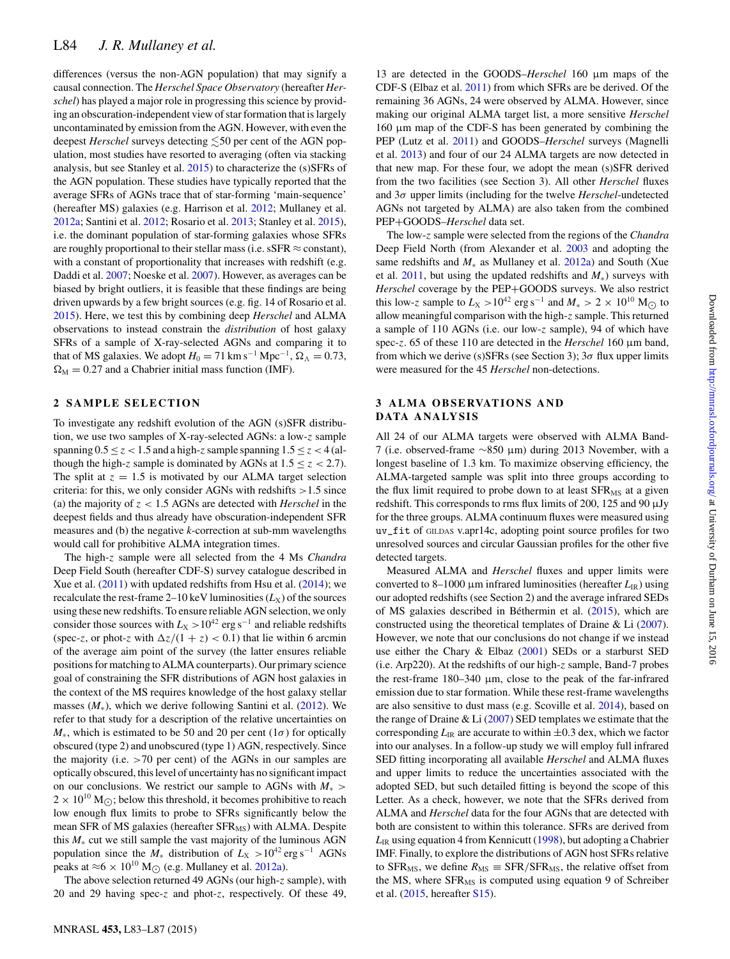differences (versus the non-AGN population) that may signify a causal connection. The *Herschel Space Observatory* (hereafter *Herschel*) has played a major role in progressing this science by providing an obscuration-independent view of star formation that is largely uncontaminated by emission from the AGN. However, with even the deepest *Herschel* surveys detecting  $\lesssim$ 50 per cent of the AGN population, most studies have resorted to averaging (often via stacking analysis, but see Stanley et al. [2015\)](#page-5-9) to characterize the (s)SFRs of the AGN population. These studies have typically reported that the average SFRs of AGNs trace that of star-forming 'main-sequence' (hereafter MS) galaxies (e.g. Harrison et al. [2012;](#page-5-10) Mullaney et al. [2012a;](#page-5-11) Santini et al. [2012;](#page-5-12) Rosario et al. [2013;](#page-5-13) Stanley et al. [2015\)](#page-5-9), i.e. the dominant population of star-forming galaxies whose SFRs are roughly proportional to their stellar mass (i.e.  $sSFR \approx constant$ ), with a constant of proportionality that increases with redshift (e.g. Daddi et al. [2007;](#page-5-14) Noeske et al. [2007\)](#page-5-15). However, as averages can be biased by bright outliers, it is feasible that these findings are being driven upwards by a few bright sources (e.g. fig. 14 of Rosario et al. [2015\)](#page-5-16). Here, we test this by combining deep *Herschel* and ALMA observations to instead constrain the *distribution* of host galaxy SFRs of a sample of X-ray-selected AGNs and comparing it to that of MS galaxies. We adopt  $H_0 = 71 \text{ km s}^{-1} \text{ Mpc}^{-1}$ ,  $\Omega_{\Lambda} = 0.73$ ,  $\Omega_{\rm M} = 0.27$  and a Chabrier initial mass function (IMF).

#### **2 SAMPLE SELECTION**

To investigate any redshift evolution of the AGN (s)SFR distribution, we use two samples of X-ray-selected AGNs: a low-z sample spanning  $0.5 \le z \le 1.5$  and a high-z sample spanning  $1.5 \le z \le 4$  (although the high-z sample is dominated by AGNs at  $1.5 \le z < 2.7$ ). The split at  $z = 1.5$  is motivated by our ALMA target selection criteria: for this, we only consider AGNs with redshifts >1.5 since (a) the majority of  $z < 1.5$  AGNs are detected with *Herschel* in the deepest fields and thus already have obscuration-independent SFR measures and (b) the negative *k*-correction at sub-mm wavelengths would call for prohibitive ALMA integration times.

The high-z sample were all selected from the 4 Ms *Chandra* Deep Field South (hereafter CDF-S) survey catalogue described in Xue et al. [\(2011\)](#page-5-17) with updated redshifts from Hsu et al. [\(2014\)](#page-5-18); we recalculate the rest-frame  $2-10$  keV luminosities  $(L_X)$  of the sources using these new redshifts. To ensure reliable AGN selection, we only consider those sources with  $L_X > 10^{42}$  erg s<sup>-1</sup> and reliable redshifts (spec-z, or phot-z with  $\Delta z/(1 + z) < 0.1$ ) that lie within 6 arcmin of the average aim point of the survey (the latter ensures reliable positions for matching to ALMA counterparts). Our primary science goal of constraining the SFR distributions of AGN host galaxies in the context of the MS requires knowledge of the host galaxy stellar masses  $(M_*)$ , which we derive following Santini et al. [\(2012\)](#page-5-12). We refer to that study for a description of the relative uncertainties on  $M_*$ , which is estimated to be 50 and 20 per cent (1 $\sigma$ ) for optically obscured (type 2) and unobscured (type 1) AGN, respectively. Since the majority (i.e. >70 per cent) of the AGNs in our samples are optically obscured, this level of uncertainty has no significant impact on our conclusions. We restrict our sample to AGNs with *M*<sup>∗</sup> >  $2 \times 10^{10}$  M<sub>( $\odot$ </sub>); below this threshold, it becomes prohibitive to reach low enough flux limits to probe to SFRs significantly below the mean SFR of MS galaxies (hereafter  $SFR_{MS}$ ) with ALMA. Despite this *M*<sup>∗</sup> cut we still sample the vast majority of the luminous AGN population since the  $M_*$  distribution of  $L_X > 10^{42}$  erg s<sup>-1</sup> AGNs peaks at  $\approx$  6 × 10<sup>10</sup> M<sub> $\odot$ </sub> (e.g. Mullaney et al. [2012a\)](#page-5-11).

The above selection returned 49 AGNs (our high-z sample), with 20 and 29 having spec-z and phot-z, respectively. Of these 49,

13 are detected in the GOODS–*Herschel* 160 um maps of the CDF-S (Elbaz et al. [2011\)](#page-5-19) from which SFRs are be derived. Of the remaining 36 AGNs, 24 were observed by ALMA. However, since making our original ALMA target list, a more sensitive *Herschel* 160 µm map of the CDF-S has been generated by combining the PEP (Lutz et al. [2011\)](#page-5-20) and GOODS–*Herschel* surveys (Magnelli et al. [2013\)](#page-5-21) and four of our 24 ALMA targets are now detected in that new map. For these four, we adopt the mean (s)SFR derived from the two facilities (see Section 3). All other *Herschel* fluxes and 3σ upper limits (including for the twelve *Herschel*-undetected AGNs not targeted by ALMA) are also taken from the combined PEP+GOODS–*Herschel* data set.

The low-z sample were selected from the regions of the *Chandra* Deep Field North (from Alexander et al. [2003](#page-5-22) and adopting the same redshifts and *M*<sup>∗</sup> as Mullaney et al. [2012a\)](#page-5-11) and South (Xue et al. [2011,](#page-5-17) but using the updated redshifts and *M*∗) surveys with *Herschel* coverage by the PEP+GOODS surveys. We also restrict this low-z sample to  $L_X > 10^{42}$  erg s<sup>-1</sup> and  $M_* > 2 \times 10^{10}$  M<sub> $\odot$ </sub> to allow meaningful comparison with the high-z sample. This returned a sample of 110 AGNs (i.e. our low-z sample), 94 of which have spec-z. 65 of these 110 are detected in the *Herschel* 160 µm band, from which we derive (s)SFRs (see Section 3);  $3\sigma$  flux upper limits were measured for the 45 *Herschel* non-detections.

#### **3 ALMA OBSERVATIONS AND DATA ANALYSIS**

All 24 of our ALMA targets were observed with ALMA Band-7 (i.e. observed-frame ∼850 µm) during 2013 November, with a longest baseline of 1.3 km. To maximize observing efficiency, the ALMA-targeted sample was split into three groups according to the flux limit required to probe down to at least  $SFR_{MS}$  at a given redshift. This corresponds to rms flux limits of 200, 125 and 90  $\mu$ Jy for the three groups. ALMA continuum fluxes were measured using uv\_fit of GILDAS v.apr14c, adopting point source profiles for two unresolved sources and circular Gaussian profiles for the other five detected targets.

Measured ALMA and *Herschel* fluxes and upper limits were converted to 8–1000  $\mu$ m infrared luminosities (hereafter  $L_{\rm IR}$ ) using our adopted redshifts (see Section 2) and the average infrared SEDs of MS galaxies described in Béthermin et al.  $(2015)$  $(2015)$ , which are constructed using the theoretical templates of Draine & Li [\(2007\)](#page-5-24). However, we note that our conclusions do not change if we instead use either the Chary & Elbaz [\(2001\)](#page-5-25) SEDs or a starburst SED (i.e. Arp220). At the redshifts of our high-z sample, Band-7 probes the rest-frame  $180-340 \mu m$ , close to the peak of the far-infrared emission due to star formation. While these rest-frame wavelengths are also sensitive to dust mass (e.g. Scoville et al. [2014\)](#page-5-26), based on the range of Draine & Li  $(2007)$  SED templates we estimate that the corresponding  $L_{\text{IR}}$  are accurate to within  $\pm 0.3$  dex, which we factor into our analyses. In a follow-up study we will employ full infrared SED fitting incorporating all available *Herschel* and ALMA fluxes and upper limits to reduce the uncertainties associated with the adopted SED, but such detailed fitting is beyond the scope of this Letter. As a check, however, we note that the SFRs derived from ALMA and *Herschel* data for the four AGNs that are detected with both are consistent to within this tolerance. SFRs are derived from  $L_{IR}$  using equation 4 from Kennicutt [\(1998\)](#page-5-27), but adopting a Chabrier IMF. Finally, to explore the distributions of AGN host SFRs relative to SFR<sub>MS</sub>, we define  $R_{\text{MS}} \equiv \text{SFR}/\text{SFR}_{\text{MS}}$ , the relative offset from the MS, where  $SFR<sub>MS</sub>$  is computed using equation 9 of Schreiber et al. [\(2015,](#page-5-28) hereafter [S15\)](#page-5-28).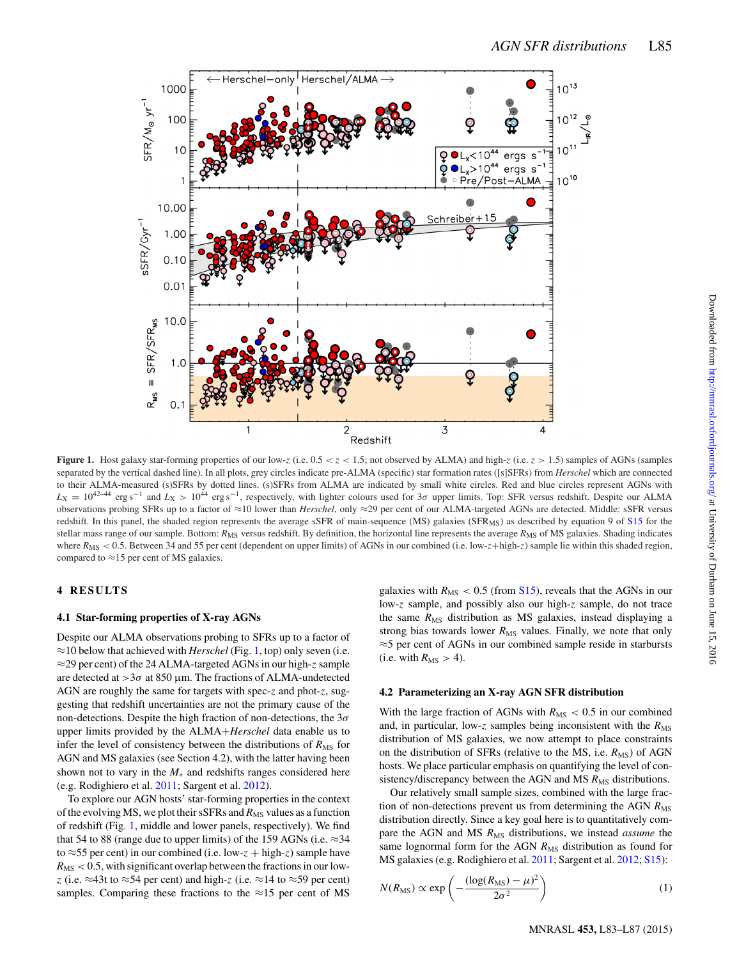<span id="page-3-0"></span>

**Figure 1.** Host galaxy star-forming properties of our low-z (i.e.  $0.5 < z < 1.5$ ; not observed by ALMA) and high-z (i.e.  $z > 1.5$ ) samples of AGNs (samples separated by the vertical dashed line). In all plots, grey circles indicate pre-ALMA (specific) star formation rates ([s]SFRs) from *Herschel* which are connected to their ALMA-measured (s)SFRs by dotted lines. (s)SFRs from ALMA are indicated by small white circles. Red and blue circles represent AGNs with *<sup>L</sup>*<sup>X</sup> <sup>=</sup> <sup>10</sup>42–44 erg s−<sup>1</sup> and *<sup>L</sup>*<sup>X</sup> <sup>&</sup>gt; <sup>10</sup><sup>44</sup> erg s−1, respectively, with lighter colours used for 3<sup>σ</sup> upper limits. Top: SFR versus redshift. Despite our ALMA observations probing SFRs up to a factor of ≈10 lower than *Herschel*, only ≈29 per cent of our ALMA-targeted AGNs are detected. Middle: sSFR versus redshift. In this panel, the shaded region represents the average sSFR of main-sequence (MS) galaxies (SFR<sub>MS</sub>) as described by equation 9 of [S15](#page-5-28) for the stellar mass range of our sample. Bottom: *R*<sub>MS</sub> versus redshift. By definition, the horizontal line represents the average *R*<sub>MS</sub> of MS galaxies. Shading indicates where  $R_{\text{MS}} < 0.5$ . Between 34 and 55 per cent (dependent on upper limits) of AGNs in our combined (i.e. low-z+high-z) sample lie within this shaded region, compared to  $\approx$ 15 per cent of MS galaxies.

### **4 RESULTS**

#### **4.1 Star-forming properties of X-ray AGNs**

Despite our ALMA observations probing to SFRs up to a factor of ≈10 below that achieved with *Herschel* (Fig. [1,](#page-3-0) top) only seven (i.e. ≈29 per cent) of the 24 ALMA-targeted AGNs in our high-z sample are detected at  $>3\sigma$  at 850 µm. The fractions of ALMA-undetected AGN are roughly the same for targets with spec-z and phot-z, suggesting that redshift uncertainties are not the primary cause of the non-detections. Despite the high fraction of non-detections, the  $3\sigma$ upper limits provided by the ALMA+*Herschel* data enable us to infer the level of consistency between the distributions of  $R_{\text{MS}}$  for AGN and MS galaxies (see Section 4.2), with the latter having been shown not to vary in the *M*<sup>∗</sup> and redshifts ranges considered here (e.g. Rodighiero et al. [2011;](#page-5-29) Sargent et al. [2012\)](#page-5-30).

To explore our AGN hosts' star-forming properties in the context of the evolving MS, we plot their sSFRs and  $R_{MS}$  values as a function of redshift (Fig. [1,](#page-3-0) middle and lower panels, respectively). We find that 54 to 88 (range due to upper limits) of the 159 AGNs (i.e.  $\approx$ 34 to  $\approx$  55 per cent) in our combined (i.e. low-z + high-z) sample have  $R_{\text{MS}} < 0.5$ , with significant overlap between the fractions in our lowz (i.e.  $\approx$ 43t to  $\approx$ 54 per cent) and high-z (i.e.  $\approx$ 14 to  $\approx$ 59 per cent) samples. Comparing these fractions to the  $\approx$ 15 per cent of MS galaxies with  $R_{\text{MS}} < 0.5$  (from S<sub>15</sub>), reveals that the AGNs in our low-z sample, and possibly also our high-z sample, do not trace the same  $R_{\text{MS}}$  distribution as MS galaxies, instead displaying a strong bias towards lower  $R_{MS}$  values. Finally, we note that only ≈5 per cent of AGNs in our combined sample reside in starbursts (i.e. with  $R_{\text{MS}} > 4$ ).

#### **4.2 Parameterizing an X-ray AGN SFR distribution**

With the large fraction of AGNs with  $R_{MS}$  < 0.5 in our combined and, in particular, low-z samples being inconsistent with the  $R_{\text{MS}}$ distribution of MS galaxies, we now attempt to place constraints on the distribution of SFRs (relative to the MS, i.e.  $R_{MS}$ ) of AGN hosts. We place particular emphasis on quantifying the level of consistency/discrepancy between the AGN and MS  $R_{MS}$  distributions.

Our relatively small sample sizes, combined with the large fraction of non-detections prevent us from determining the AGN  $R_{\text{MS}}$ distribution directly. Since a key goal here is to quantitatively compare the AGN and MS  $R_{MS}$  distributions, we instead *assume* the same lognormal form for the AGN  $R_{\rm MS}$  distribution as found for MS galaxies (e.g. Rodighiero et al. [2011;](#page-5-29) Sargent et al. [2012;](#page-5-30) [S15\)](#page-5-28):

$$
N(R_{\rm MS}) \propto \exp\left(-\frac{(\log(R_{\rm MS}) - \mu)^2}{2\sigma^2}\right) \tag{1}
$$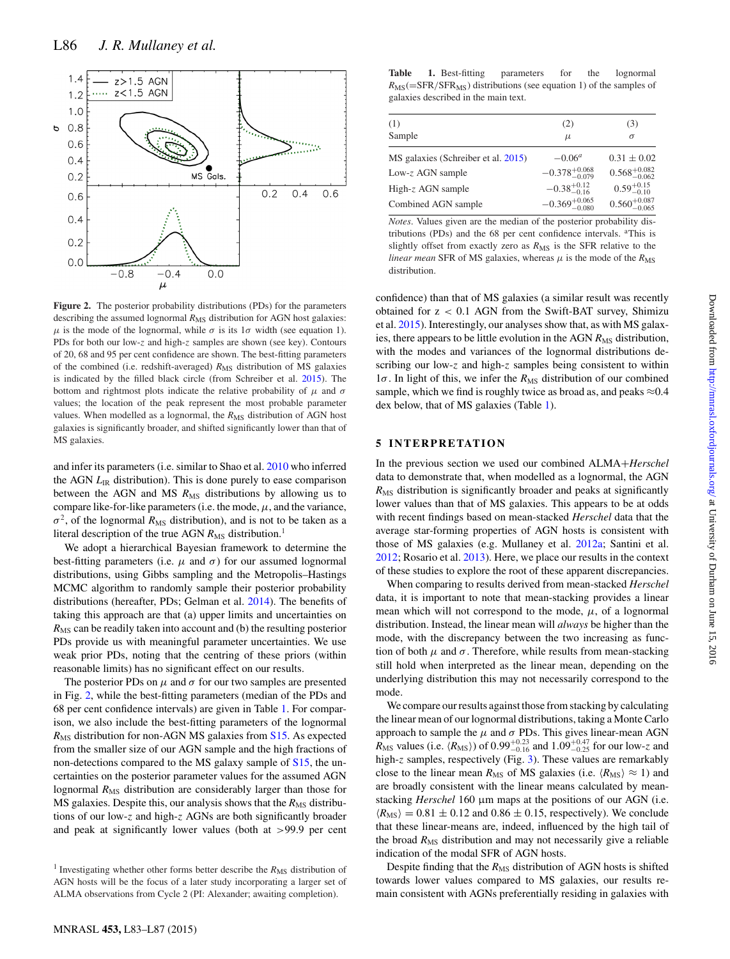<span id="page-4-0"></span>

**Figure 2.** The posterior probability distributions (PDs) for the parameters describing the assumed lognormal  $R_{MS}$  distribution for AGN host galaxies:  $μ$  is the mode of the lognormal, while  $σ$  is its  $1σ$  width (see equation 1). PDs for both our low-z and high-z samples are shown (see key). Contours of 20, 68 and 95 per cent confidence are shown. The best-fitting parameters of the combined (i.e. redshift-averaged)  $R_{MS}$  distribution of MS galaxies is indicated by the filled black circle (from Schreiber et al. [2015\)](#page-5-28). The bottom and rightmost plots indicate the relative probability of  $\mu$  and  $\sigma$ values; the location of the peak represent the most probable parameter values. When modelled as a lognormal, the R<sub>MS</sub> distribution of AGN host galaxies is significantly broader, and shifted significantly lower than that of MS galaxies.

and infer its parameters (i.e. similar to Shao et al. [2010](#page-5-31) who inferred the AGN *L*IR distribution). This is done purely to ease comparison between the AGN and MS  $R_{MS}$  distributions by allowing us to compare like-for-like parameters (i.e. the mode,  $\mu$ , and the variance,  $\sigma^2$ , of the lognormal  $R_{\text{MS}}$  distribution), and is not to be taken as a literal description of the true AGN  $R_{\text{MS}}$  distribution.<sup>1</sup>

We adopt a hierarchical Bayesian framework to determine the best-fitting parameters (i.e.  $\mu$  and  $\sigma$ ) for our assumed lognormal distributions, using Gibbs sampling and the Metropolis–Hastings MCMC algorithm to randomly sample their posterior probability distributions (hereafter, PDs; Gelman et al. [2014\)](#page-5-32). The benefits of taking this approach are that (a) upper limits and uncertainties on  $R_{\text{MS}}$  can be readily taken into account and (b) the resulting posterior PDs provide us with meaningful parameter uncertainties. We use weak prior PDs, noting that the centring of these priors (within reasonable limits) has no significant effect on our results.

The posterior PDs on  $\mu$  and  $\sigma$  for our two samples are presented in Fig. [2,](#page-4-0) while the best-fitting parameters (median of the PDs and 68 per cent confidence intervals) are given in Table [1.](#page-4-1) For comparison, we also include the best-fitting parameters of the lognormal *R*MS distribution for non-AGN MS galaxies from [S15.](#page-5-28) As expected from the smaller size of our AGN sample and the high fractions of non-detections compared to the MS galaxy sample of [S15,](#page-5-28) the uncertainties on the posterior parameter values for the assumed AGN lognormal  $R_{MS}$  distribution are considerably larger than those for MS galaxies. Despite this, our analysis shows that the  $R_{\text{MS}}$  distributions of our low-z and high-z AGNs are both significantly broader and peak at significantly lower values (both at >99.9 per cent

<span id="page-4-1"></span>

| (1)                                 | (2)                        | (3)                       |
|-------------------------------------|----------------------------|---------------------------|
| Sample                              | $\mu$                      | $\sigma$                  |
| MS galaxies (Schreiber et al. 2015) | $-0.06^a$                  | $0.31 \pm 0.02$           |
| Low-z AGN sample                    | $-0.378_{-0.079}^{+0.068}$ | $0.568^{+0.082}_{-0.062}$ |
| High- $z$ AGN sample                | $-0.38_{-0.16}^{+0.12}$    | $0.59^{+0.15}_{-0.10}$    |
| Combined AGN sample                 | $-0.369^{+0.065}_{-0.080}$ | $0.560^{+0.087}_{-0.065}$ |

*Notes*. Values given are the median of the posterior probability distributions (PDs) and the 68 per cent confidence intervals. <sup>a</sup>This is slightly offset from exactly zero as  $R_{MS}$  is the SFR relative to the *linear mean* SFR of MS galaxies, whereas  $\mu$  is the mode of the  $R_{MS}$ distribution.

confidence) than that of MS galaxies (a similar result was recently obtained for z < 0.1 AGN from the Swift-BAT survey, Shimizu et al. [2015\)](#page-5-33). Interestingly, our analyses show that, as with MS galaxies, there appears to be little evolution in the AGN  $R_{MS}$  distribution, with the modes and variances of the lognormal distributions describing our low-z and high-z samples being consistent to within  $1\sigma$ . In light of this, we infer the  $R_{\rm MS}$  distribution of our combined sample, which we find is roughly twice as broad as, and peaks  $\approx 0.4$ dex below, that of MS galaxies (Table [1\)](#page-4-1).

#### **5 INTERPRETATION**

In the previous section we used our combined ALMA+*Herschel* data to demonstrate that, when modelled as a lognormal, the AGN  $R_{\text{MS}}$  distribution is significantly broader and peaks at significantly lower values than that of MS galaxies. This appears to be at odds with recent findings based on mean-stacked *Herschel* data that the average star-forming properties of AGN hosts is consistent with those of MS galaxies (e.g. Mullaney et al. [2012a;](#page-5-11) Santini et al. [2012;](#page-5-12) Rosario et al. [2013\)](#page-5-13). Here, we place our results in the context of these studies to explore the root of these apparent discrepancies.

When comparing to results derived from mean-stacked *Herschel* data, it is important to note that mean-stacking provides a linear mean which will not correspond to the mode,  $\mu$ , of a lognormal distribution. Instead, the linear mean will *always* be higher than the mode, with the discrepancy between the two increasing as function of both  $\mu$  and  $\sigma$ . Therefore, while results from mean-stacking still hold when interpreted as the linear mean, depending on the underlying distribution this may not necessarily correspond to the mode.

We compare our results against those from stacking by calculating the linear mean of our lognormal distributions, taking a Monte Carlo approach to sample the  $\mu$  and  $\sigma$  PDs. This gives linear-mean AGN  $R_{\text{MS}}$  values (i.e.  $\langle R_{\text{MS}} \rangle$ ) of 0.99<sup>+0.23</sup> and 1.09<sup>+0.47</sup> for our low-z and high-z samples, respectively (Fig. [3\)](#page-5-34). These values are remarkably close to the linear mean  $R_{MS}$  of MS galaxies (i.e.  $\langle R_{MS} \rangle \approx 1$ ) and are broadly consistent with the linear means calculated by meanstacking *Herschel* 160 µm maps at the positions of our AGN (i.e.  $\langle R_{\rm MS} \rangle = 0.81 \pm 0.12$  and 0.86  $\pm$  0.15, respectively). We conclude that these linear-means are, indeed, influenced by the high tail of the broad  $R_{\text{MS}}$  distribution and may not necessarily give a reliable indication of the modal SFR of AGN hosts.

Despite finding that the *R*<sub>MS</sub> distribution of AGN hosts is shifted towards lower values compared to MS galaxies, our results remain consistent with AGNs preferentially residing in galaxies with

<sup>&</sup>lt;sup>1</sup> Investigating whether other forms better describe the  $R_{\rm MS}$  distribution of AGN hosts will be the focus of a later study incorporating a larger set of ALMA observations from Cycle 2 (PI: Alexander; awaiting completion).